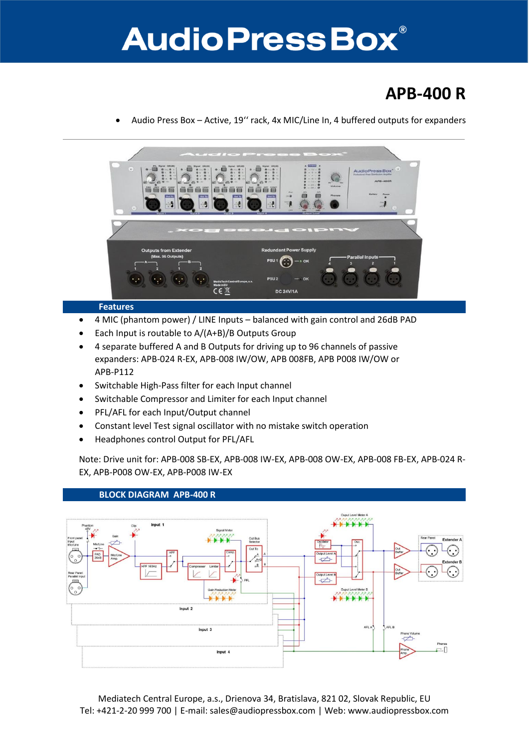## **Audio Press Box®**

### **APB-400 R**

Audio Press Box – Active, 19'' rack, 4x MIC/Line In, 4 buffered outputs for expanders



#### **Features**

- 4 MIC (phantom power) / LINE Inputs balanced with gain control and 26dB PAD
- Each Input is routable to A/(A+B)/B Outputs Group
- 4 separate buffered A and B Outputs for driving up to 96 channels of passive expanders: APB-024 R-EX, APB-008 IW/OW, APB 008FB, APB P008 IW/OW or APB-P112
- Switchable High-Pass filter for each Input channel
- Switchable Compressor and Limiter for each Input channel
- PFL/AFL for each Input/Output channel
- Constant level Test signal oscillator with no mistake switch operation
- Headphones control Output for PFL/AFL

Note: Drive unit for: APB-008 SB-EX, APB-008 IW-EX, APB-008 OW-EX, APB-008 FB-EX, APB-024 R-EX, APB-P008 OW-EX, APB-P008 IW-EX



#### **BLOCK DIAGRAM APB-400 R**

Mediatech Central Europe, a.s., Drienova 34, Bratislava, 821 02, Slovak Republic, EU Tel: +421-2-20 999 700 | E-mail: sales@audiopressbox.com | Web: www.audiopressbox.com